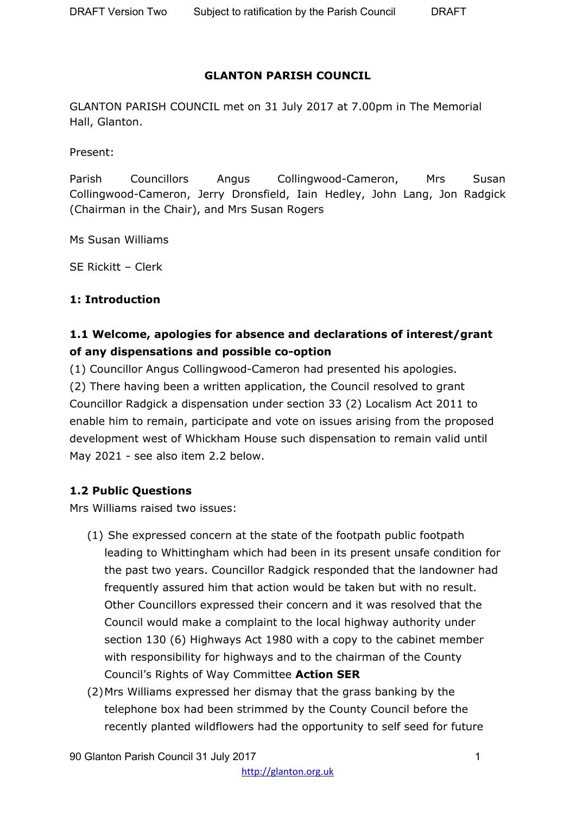#### **GLANTON PARISH COUNCIL**

GLANTON PARISH COUNCIL met on 31 July 2017 at 7.00pm in The Memorial Hall, Glanton.

Present:

Parish Councillors Angus Collingwood-Cameron, Mrs Susan Collingwood-Cameron, Jerry Dronsfield, Iain Hedley, John Lang, Jon Radgick (Chairman in the Chair), and Mrs Susan Rogers

Ms Susan Williams

SE Rickitt – Clerk

#### **1: Introduction**

# **1.1 Welcome, apologies for absence and declarations of interest/grant of any dispensations and possible co-option**

(1) Councillor Angus Collingwood-Cameron had presented his apologies. (2) There having been a written application, the Council resolved to grant Councillor Radgick a dispensation under section 33 (2) Localism Act 2011 to enable him to remain, participate and vote on issues arising from the proposed development west of Whickham House such dispensation to remain valid until May 2021 - see also item 2.2 below.

### **1.2 Public Questions**

Mrs Williams raised two issues:

- (1) She expressed concern at the state of the footpath public footpath leading to Whittingham which had been in its present unsafe condition for the past two years. Councillor Radgick responded that the landowner had frequently assured him that action would be taken but with no result. Other Councillors expressed their concern and it was resolved that the Council would make a complaint to the local highway authority under section 130 (6) Highways Act 1980 with a copy to the cabinet member with responsibility for highways and to the chairman of the County Council's Rights of Way Committee **Action SER**
- (2)Mrs Williams expressed her dismay that the grass banking by the telephone box had been strimmed by the County Council before the recently planted wildflowers had the opportunity to self seed for future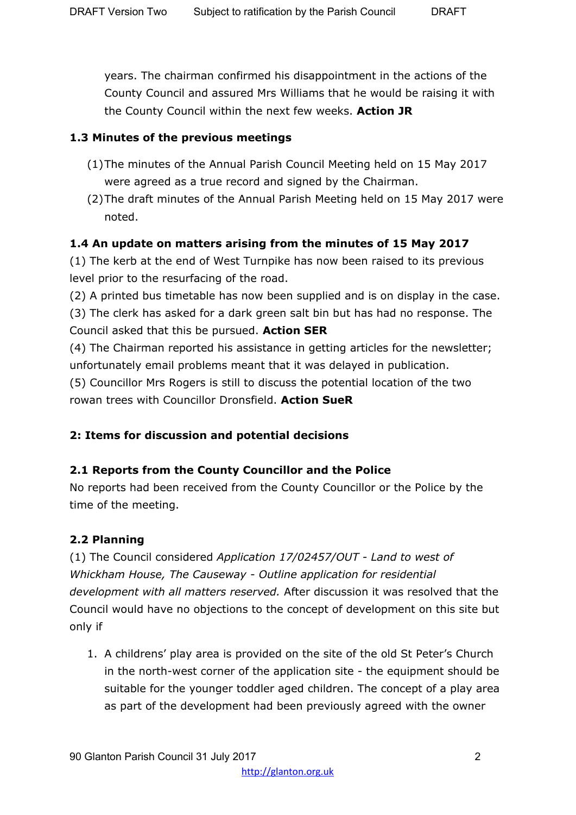years. The chairman confirmed his disappointment in the actions of the County Council and assured Mrs Williams that he would be raising it with the County Council within the next few weeks. **Action JR**

### **1.3 Minutes of the previous meetings**

- (1)The minutes of the Annual Parish Council Meeting held on 15 May 2017 were agreed as a true record and signed by the Chairman.
- (2)The draft minutes of the Annual Parish Meeting held on 15 May 2017 were noted.

### **1.4 An update on matters arising from the minutes of 15 May 2017**

(1) The kerb at the end of West Turnpike has now been raised to its previous level prior to the resurfacing of the road.

(2) A printed bus timetable has now been supplied and is on display in the case.

(3) The clerk has asked for a dark green salt bin but has had no response. The Council asked that this be pursued. **Action SER**

(4) The Chairman reported his assistance in getting articles for the newsletter; unfortunately email problems meant that it was delayed in publication.

(5) Councillor Mrs Rogers is still to discuss the potential location of the two rowan trees with Councillor Dronsfield. **Action SueR**

# **2: Items for discussion and potential decisions**

# **2.1 Reports from the County Councillor and the Police**

No reports had been received from the County Councillor or the Police by the time of the meeting.

# **2.2 Planning**

(1) The Council considered *Application 17/02457/OUT - Land to west of Whickham House, The Causeway - Outline application for residential development with all matters reserved.* After discussion it was resolved that the Council would have no objections to the concept of development on this site but only if

1. A childrens' play area is provided on the site of the old St Peter's Church in the north-west corner of the application site - the equipment should be suitable for the younger toddler aged children. The concept of a play area as part of the development had been previously agreed with the owner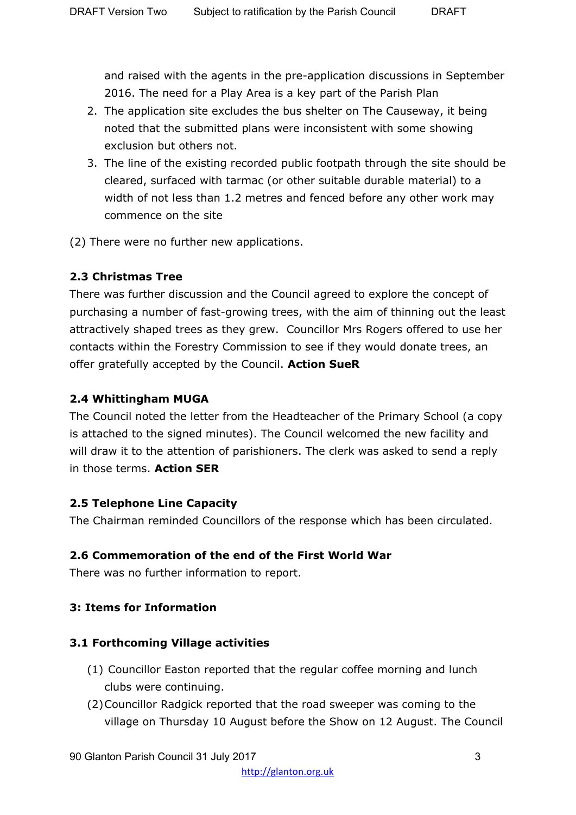and raised with the agents in the pre-application discussions in September 2016. The need for a Play Area is a key part of the Parish Plan

- 2. The application site excludes the bus shelter on The Causeway, it being noted that the submitted plans were inconsistent with some showing exclusion but others not.
- 3. The line of the existing recorded public footpath through the site should be cleared, surfaced with tarmac (or other suitable durable material) to a width of not less than 1.2 metres and fenced before any other work may commence on the site
- (2) There were no further new applications.

### **2.3 Christmas Tree**

There was further discussion and the Council agreed to explore the concept of purchasing a number of fast-growing trees, with the aim of thinning out the least attractively shaped trees as they grew. Councillor Mrs Rogers offered to use her contacts within the Forestry Commission to see if they would donate trees, an offer gratefully accepted by the Council. **Action SueR**

### **2.4 Whittingham MUGA**

The Council noted the letter from the Headteacher of the Primary School (a copy is attached to the signed minutes). The Council welcomed the new facility and will draw it to the attention of parishioners. The clerk was asked to send a reply in those terms. **Action SER**

### **2.5 Telephone Line Capacity**

The Chairman reminded Councillors of the response which has been circulated.

# **2.6 Commemoration of the end of the First World War**

There was no further information to report.

# **3: Items for Information**

### **3.1 Forthcoming Village activities**

- (1) Councillor Easton reported that the regular coffee morning and lunch clubs were continuing.
- (2)Councillor Radgick reported that the road sweeper was coming to the village on Thursday 10 August before the Show on 12 August. The Council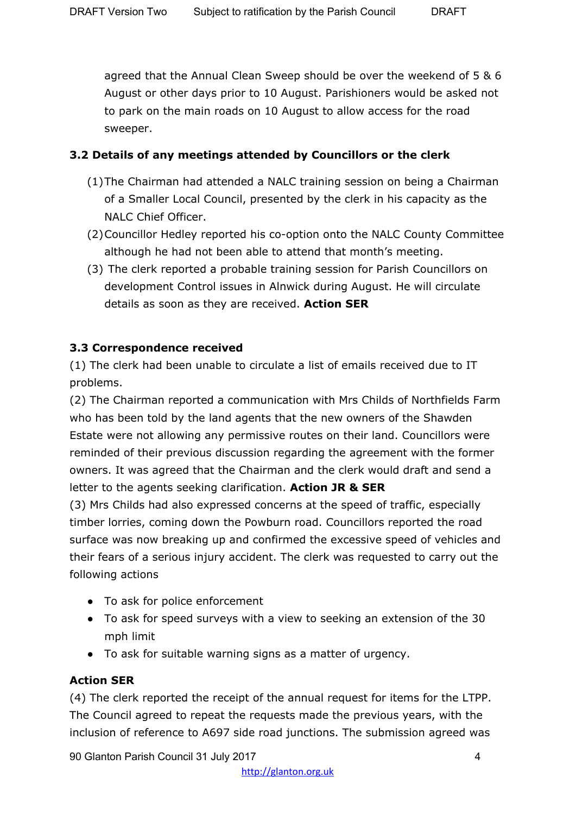agreed that the Annual Clean Sweep should be over the weekend of 5 & 6 August or other days prior to 10 August. Parishioners would be asked not to park on the main roads on 10 August to allow access for the road sweeper.

### **3.2 Details of any meetings attended by Councillors or the clerk**

- (1)The Chairman had attended a NALC training session on being a Chairman of a Smaller Local Council, presented by the clerk in his capacity as the NALC Chief Officer.
- (2)Councillor Hedley reported his co-option onto the NALC County Committee although he had not been able to attend that month's meeting.
- (3) The clerk reported a probable training session for Parish Councillors on development Control issues in Alnwick during August. He will circulate details as soon as they are received. **Action SER**

### **3.3 Correspondence received**

(1) The clerk had been unable to circulate a list of emails received due to IT problems.

(2) The Chairman reported a communication with Mrs Childs of Northfields Farm who has been told by the land agents that the new owners of the Shawden Estate were not allowing any permissive routes on their land. Councillors were reminded of their previous discussion regarding the agreement with the former owners. It was agreed that the Chairman and the clerk would draft and send a letter to the agents seeking clarification. **Action JR & SER**

(3) Mrs Childs had also expressed concerns at the speed of traffic, especially timber lorries, coming down the Powburn road. Councillors reported the road surface was now breaking up and confirmed the excessive speed of vehicles and their fears of a serious injury accident. The clerk was requested to carry out the following actions

- To ask for police enforcement
- To ask for speed surveys with a view to seeking an extension of the 30 mph limit
- To ask for suitable warning signs as a matter of urgency.

### **Action SER**

(4) The clerk reported the receipt of the annual request for items for the LTPP. The Council agreed to repeat the requests made the previous years, with the inclusion of reference to A697 side road junctions. The submission agreed was

90 Glanton Parish Council 31 July 2017 4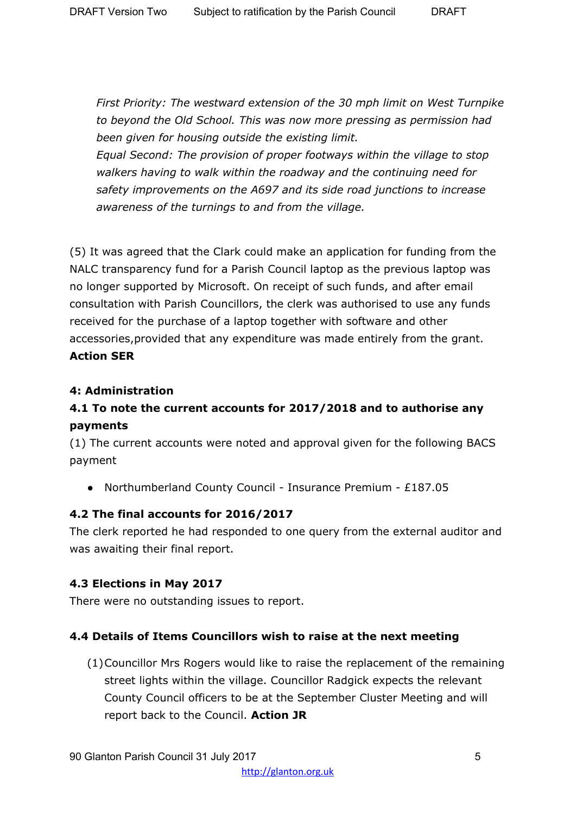*First Priority: The westward extension of the 30 mph limit on West Turnpike to beyond the Old School. This was now more pressing as permission had been given for housing outside the existing limit.*

*Equal Second: The provision of proper footways within the village to stop walkers having to walk within the roadway and the continuing need for safety improvements on the A697 and its side road junctions to increase awareness of the turnings to and from the village.*

(5) It was agreed that the Clark could make an application for funding from the NALC transparency fund for a Parish Council laptop as the previous laptop was no longer supported by Microsoft. On receipt of such funds, and after email consultation with Parish Councillors, the clerk was authorised to use any funds received for the purchase of a laptop together with software and other accessories,provided that any expenditure was made entirely from the grant. **Action SER**

### **4: Administration**

# **4.1 To note the current accounts for 2017/2018 and to authorise any payments**

(1) The current accounts were noted and approval given for the following BACS payment

● Northumberland County Council - Insurance Premium - £187.05

### **4.2 The final accounts for 2016/2017**

The clerk reported he had responded to one query from the external auditor and was awaiting their final report.

### **4.3 Elections in May 2017**

There were no outstanding issues to report.

### **4.4 Details of Items Councillors wish to raise at the next meeting**

(1)Councillor Mrs Rogers would like to raise the replacement of the remaining street lights within the village. Councillor Radgick expects the relevant County Council officers to be at the September Cluster Meeting and will report back to the Council. **Action JR**